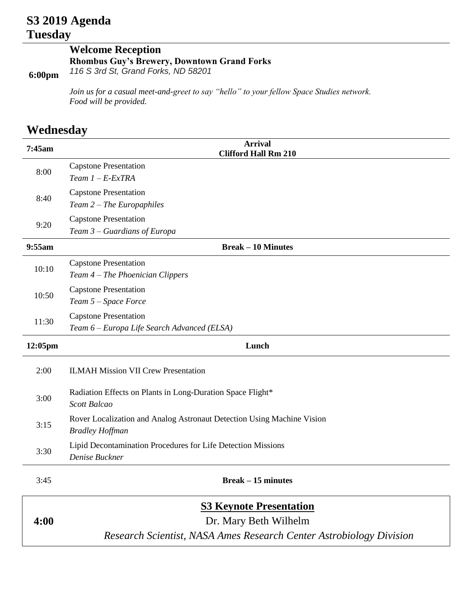## **S3 2019 Agenda Tuesday**

## **Welcome Reception Rhombus Guy's Brewery, Downtown Grand Forks** *116 S 3rd St, Grand Forks, ND 58201*

*Join us for a casual meet-and-greet to say "hello" to your fellow Space Studies network. Food will be provided.* 

## **Wednesday**

**6:00pm**

| 7:45am  | <b>Arrival</b><br><b>Clifford Hall Rm 210</b>                                                    |  |  |
|---------|--------------------------------------------------------------------------------------------------|--|--|
| 8:00    | <b>Capstone Presentation</b><br>Team $1 - E$ -ExTRA                                              |  |  |
| 8:40    | <b>Capstone Presentation</b><br>$Team 2 - The European,$                                         |  |  |
| 9:20    | <b>Capstone Presentation</b><br>Team 3 – Guardians of Europa                                     |  |  |
| 9:55am  | <b>Break – 10 Minutes</b>                                                                        |  |  |
| 10:10   | <b>Capstone Presentation</b><br>Team 4 – The Phoenician Clippers                                 |  |  |
| 10:50   | <b>Capstone Presentation</b><br>Team 5 - Space Force                                             |  |  |
| 11:30   | <b>Capstone Presentation</b><br>Team 6 - Europa Life Search Advanced (ELSA)                      |  |  |
| 12:05pm | Lunch                                                                                            |  |  |
| 2:00    | <b>ILMAH Mission VII Crew Presentation</b>                                                       |  |  |
| 3:00    | Radiation Effects on Plants in Long-Duration Space Flight*<br><b>Scott Balcao</b>                |  |  |
| 3:15    | Rover Localization and Analog Astronaut Detection Using Machine Vision<br><b>Bradley Hoffman</b> |  |  |
| 3:30    | Lipid Decontamination Procedures for Life Detection Missions<br>Denise Buckner                   |  |  |
| 3:45    | <b>Break – 15 minutes</b>                                                                        |  |  |
|         | <b>S3 Keynote Presentation</b>                                                                   |  |  |
| 4:00    | Dr. Mary Beth Wilhelm                                                                            |  |  |

Dr. Mary Beth Wilhelm *Research Scientist, NASA Ames Research Center Astrobiology Division*